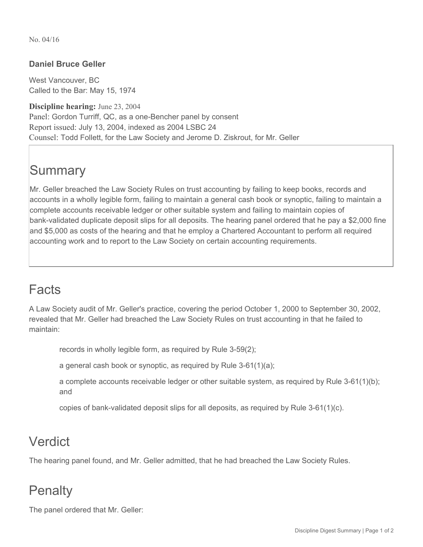No. 04/16

#### **Daniel Bruce Geller**

West Vancouver, BC Called to the Bar: May 15, 1974

**Discipline hearing:** June 23, 2004 Panel: Gordon Turriff, QC, as a one-Bencher panel by consent Report issued: July 13, 2004, indexed as 2004 LSBC 24 Counsel: Todd Follett, for the Law Society and Jerome D. Ziskrout, for Mr. Geller

# **Summary**

Mr. Geller breached the Law Society Rules on trust accounting by failing to keep books, records and accounts in a wholly legible form, failing to maintain a general cash book or synoptic, failing to maintain a complete accounts receivable ledger or other suitable system and failing to maintain copies of bank-validated duplicate deposit slips for all deposits. The hearing panel ordered that he pay a \$2,000 fine and \$5,000 as costs of the hearing and that he employ a Chartered Accountant to perform all required accounting work and to report to the Law Society on certain accounting requirements.

### Facts

A Law Society audit of Mr. Geller's practice, covering the period October 1, 2000 to September 30, 2002, revealed that Mr. Geller had breached the Law Society Rules on trust accounting in that he failed to maintain:

records in wholly legible form, as required by Rule 3-59(2);

a general cash book or synoptic, as required by Rule 3-61(1)(a);

a complete accounts receivable ledger or other suitable system, as required by Rule 3-61(1)(b); and

copies of bank-validated deposit slips for all deposits, as required by Rule 3-61(1)(c).

## Verdict

The hearing panel found, and Mr. Geller admitted, that he had breached the Law Society Rules.

### **Penalty**

The panel ordered that Mr. Geller: